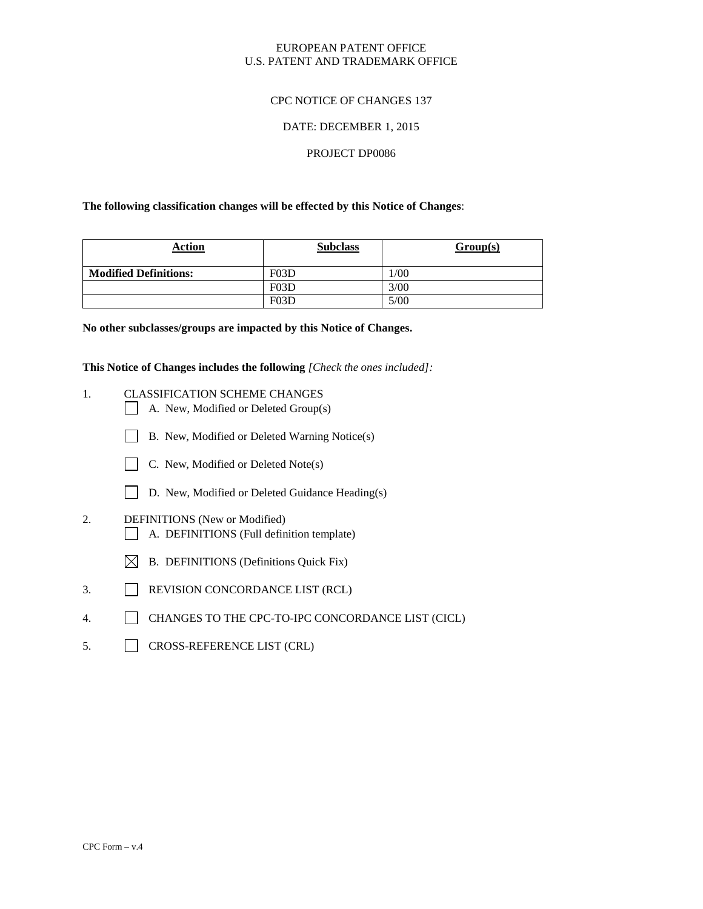### EUROPEAN PATENT OFFICE U.S. PATENT AND TRADEMARK OFFICE

### CPC NOTICE OF CHANGES 137

#### DATE: DECEMBER 1, 2015

#### PROJECT DP0086

#### **The following classification changes will be effected by this Notice of Changes**:

| Action                       | <b>Subclass</b> | Group(s) |
|------------------------------|-----------------|----------|
| <b>Modified Definitions:</b> | F03D            | 1/00     |
|                              | F03D            | 3/00     |
|                              | F03D            | 5/00     |

**No other subclasses/groups are impacted by this Notice of Changes.**

**This Notice of Changes includes the following** *[Check the ones included]:*

- 1. CLASSIFICATION SCHEME CHANGES
	- A. New, Modified or Deleted Group(s)
	- B. New, Modified or Deleted Warning Notice(s)
	- C. New, Modified or Deleted Note(s)
	- D. New, Modified or Deleted Guidance Heading(s)
- 2. DEFINITIONS (New or Modified)
	- A. DEFINITIONS (Full definition template)
	- $\boxtimes$  B. DEFINITIONS (Definitions Quick Fix)
- 3. REVISION CONCORDANCE LIST (RCL)
- 4. CHANGES TO THE CPC-TO-IPC CONCORDANCE LIST (CICL)
- 5. CROSS-REFERENCE LIST (CRL)